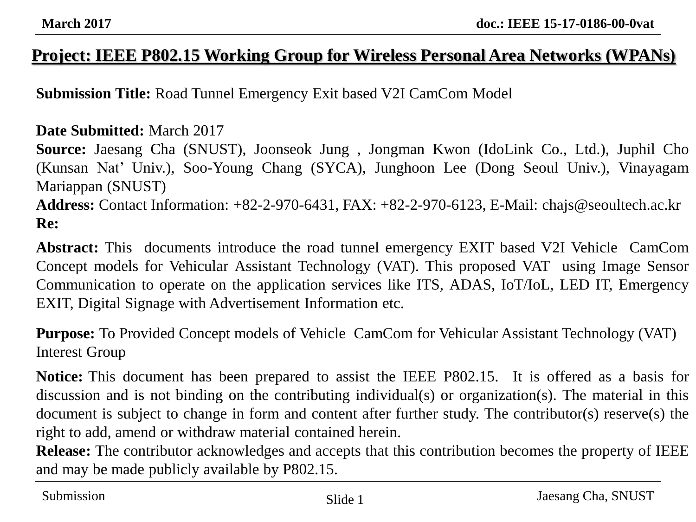## **Project: IEEE P802.15 Working Group for Wireless Personal Area Networks (WPANs)**

**Submission Title:** Road Tunnel Emergency Exit based V2I CamCom Model

### **Date Submitted:** March 2017

**Source:** Jaesang Cha (SNUST), Joonseok Jung , Jongman Kwon (IdoLink Co., Ltd.), Juphil Cho (Kunsan Nat' Univ.), Soo-Young Chang (SYCA), Junghoon Lee (Dong Seoul Univ.), Vinayagam Mariappan (SNUST) **Address:** Contact Information: +82-2-970-6431, FAX: +82-2-970-6123, E-Mail: chajs@seoultech.ac.kr **Re:**

**Abstract:** This documents introduce the road tunnel emergency EXIT based V2I Vehicle CamCom Concept models for Vehicular Assistant Technology (VAT). This proposed VAT using Image Sensor Communication to operate on the application services like ITS, ADAS, IoT/IoL, LED IT, Emergency EXIT, Digital Signage with Advertisement Information etc.

**Purpose:** To Provided Concept models of Vehicle CamCom for Vehicular Assistant Technology (VAT) Interest Group

**Notice:** This document has been prepared to assist the IEEE P802.15. It is offered as a basis for discussion and is not binding on the contributing individual(s) or organization(s). The material in this document is subject to change in form and content after further study. The contributor(s) reserve(s) the right to add, amend or withdraw material contained herein.

**Release:** The contributor acknowledges and accepts that this contribution becomes the property of IEEE and may be made publicly available by P802.15.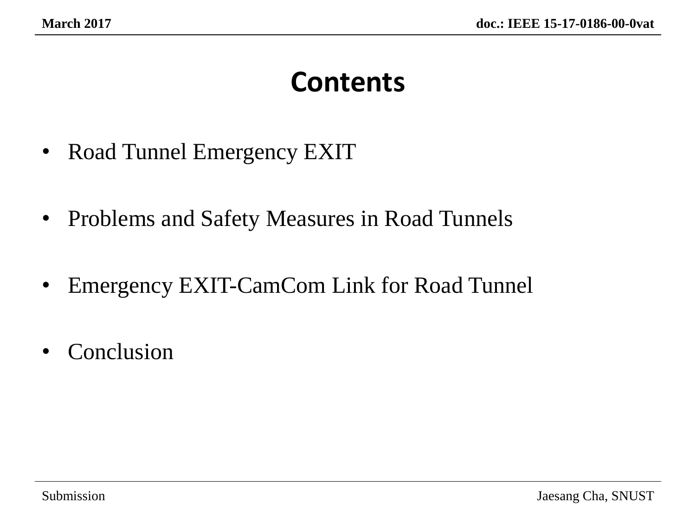# **Contents**

- Road Tunnel Emergency EXIT
- Problems and Safety Measures in Road Tunnels
- Emergency EXIT-CamCom Link for Road Tunnel
- Conclusion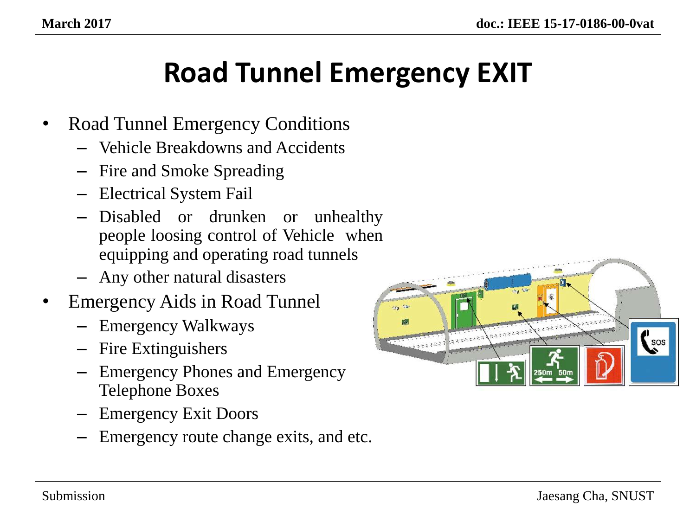# **Road Tunnel Emergency EXIT**

- Road Tunnel Emergency Conditions
	- Vehicle Breakdowns and Accidents
	- Fire and Smoke Spreading
	- Electrical System Fail
	- Disabled or drunken or unhealthy people loosing control of Vehicle when equipping and operating road tunnels
	- Any other natural disasters
- Emergency Aids in Road Tunnel
	- Emergency Walkways
	- Fire Extinguishers
	- Emergency Phones and Emergency Telephone Boxes
	- Emergency Exit Doors
	- Emergency route change exits, and etc.

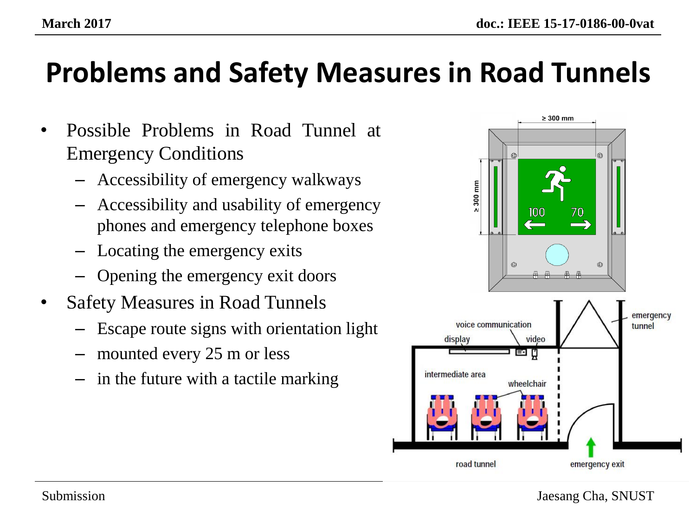# **Problems and Safety Measures in Road Tunnels**

- Possible Problems in Road Tunnel at Emergency Conditions
	- Accessibility of emergency walkways
	- Accessibility and usability of emergency phones and emergency telephone boxes
	- Locating the emergency exits
	- Opening the emergency exit doors
- Safety Measures in Road Tunnels
	- Escape route signs with orientation light
	- mounted every 25 m or less
	- in the future with a tactile marking

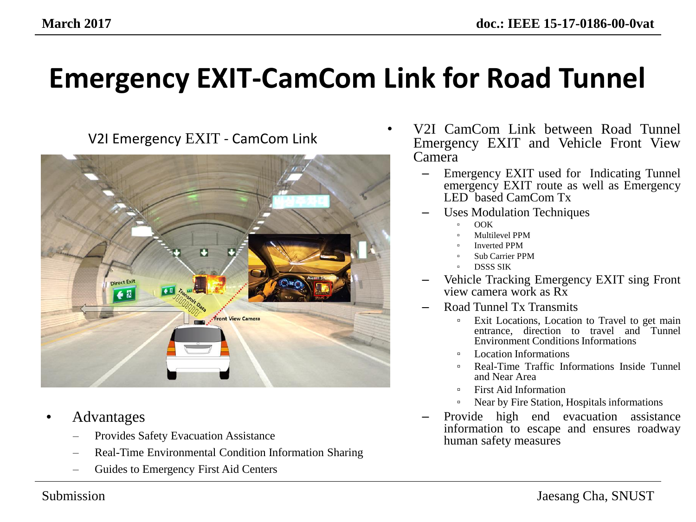

- Advantages
	- Provides Safety Evacuation Assistance
	- Real-Time Environmental Condition Information Sharing
	- Guides to Emergency First Aid Centers
- V2I CamCom Link between Road Tunnel<br>V2I Emergency EXIT CamCom Link **Franching Communist** External Vehicle Front View Emergency EXIT and Vehicle Front View Camera
	- Emergency EXIT used for Indicating Tunnel emergency EXIT route as well as Emergency LED based CamCom Tx
	- Uses Modulation Techniques
		- OOK
		- Multilevel PPM
		- Inverted PPM
		- Sub Carrier PPM
		- DSSS SIK
	- Vehicle Tracking Emergency EXIT sing Front view camera work as Rx
	- Road Tunnel Tx Transmits
		- <sup>□</sup> Exit Locations, Location to Travel to get main entrance, direction to travel and Tunnel Environment Conditions Informations
		- Location Informations
		- Real-Time Traffic Informations Inside Tunnel and Near Area
		- First Aid Information
		- Near by Fire Station, Hospitals informations
	- Provide high end evacuation assistance information to escape and ensures roadway human safety measures